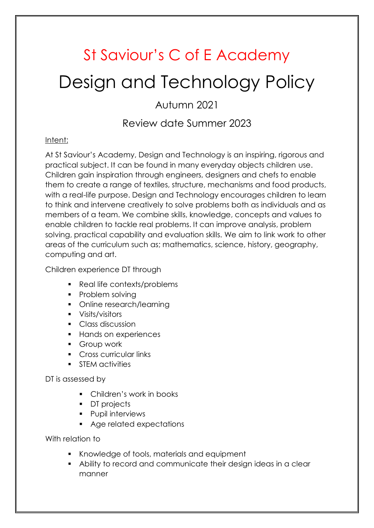# St Saviour's C of E Academy Design and Technology Policy

Autumn 2021

## Review date Summer 2023

### Intent:

At St Saviour's Academy, Design and Technology is an inspiring, rigorous and practical subject. It can be found in many everyday objects children use. Children gain inspiration through engineers, designers and chefs to enable them to create a range of textiles, structure, mechanisms and food products, with a real-life purpose. Design and Technology encourages children to learn to think and intervene creatively to solve problems both as individuals and as members of a team. We combine skills, knowledge, concepts and values to enable children to tackle real problems. It can improve analysis, problem solving, practical capability and evaluation skills. We aim to link work to other areas of the curriculum such as; mathematics, science, history, geography, computing and art.

Children experience DT through

- Real life contexts/problems
- Problem solving
- Online research/learning
- **visits/visitors**
- Class discussion
- **Hands on experiences**
- **Group work**
- Cross curricular links
- **STEM activities**

DT is assessed by

- Children's work in books
- **DT** projects
- **Pupil interviews**
- Age related expectations

With relation to

- Knowledge of tools, materials and equipment
- Ability to record and communicate their design ideas in a clear manner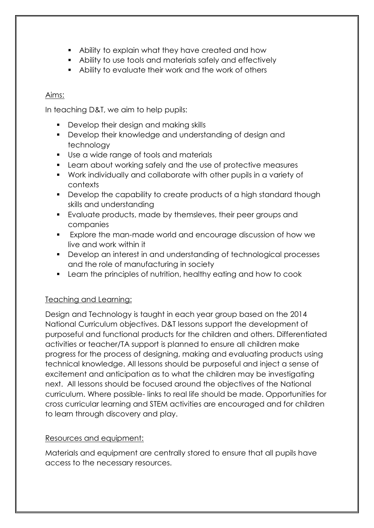- Ability to explain what they have created and how
- Ability to use tools and materials safely and effectively
- Ability to evaluate their work and the work of others

#### Aims:

In teaching D&T, we aim to help pupils:

- Develop their design and making skills
- Develop their knowledge and understanding of design and technology
- Use a wide range of tools and materials
- Learn about working safely and the use of protective measures
- Work individually and collaborate with other pupils in a variety of contexts
- **Develop the capability to create products of a high standard though** skills and understanding
- Evaluate products, made by themsleves, their peer groups and companies
- Explore the man-made world and encourage discussion of how we live and work within it
- Develop an interest in and understanding of technological processes and the role of manufacturing in society
- Learn the principles of nutrition, healthy eating and how to cook

### Teaching and Learning:

Design and Technology is taught in each year group based on the 2014 National Curriculum objectives. D&T lessons support the development of purposeful and functional products for the children and others. Differentiated activities or teacher/TA support is planned to ensure all children make progress for the process of designing, making and evaluating products using technical knowledge. All lessons should be purposeful and inject a sense of excitement and anticipation as to what the children may be investigating next. All lessons should be focused around the objectives of the National curriculum. Where possible- links to real life should be made. Opportunities for cross curricular learning and STEM activities are encouraged and for children to learn through discovery and play.

### Resources and equipment:

Materials and equipment are centrally stored to ensure that all pupils have access to the necessary resources.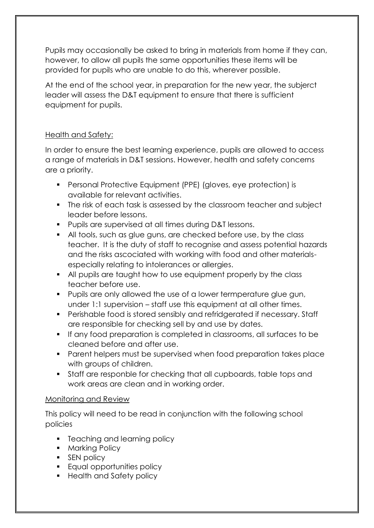Pupils may occasionally be asked to bring in materials from home if they can, however, to allow all pupils the same opportunities these items will be provided for pupils who are unable to do this, wherever possible.

At the end of the school year, in preparation for the new year, the subjerct leader will assess the D&T equipment to ensure that there is sufficient equipment for pupils.

### Health and Safety:

In order to ensure the best learning experience, pupils are allowed to access a range of materials in D&T sessions. However, health and safety concerns are a priority.

- Personal Protective Equipment (PPE) (gloves, eye protection) is available for relevant activities.
- The risk of each task is assessed by the classroom teacher and subject leader before lessons.
- **Pupils are supervised at all times during D&T lessons.**
- All tools, such as glue guns, are checked before use, by the class teacher. It is the duty of staff to recognise and assess potential hazards and the risks ascociated with working with food and other materialsespecially relating to intolerances or allergies.
- All pupils are taught how to use equipment properly by the class teacher before use.
- **Pupils are only allowed the use of a lower termperature glue gun,** under 1:1 supervision – staff use this equipment at all other times.
- Perishable food is stored sensibly and refridgerated if necessary. Staff are responsible for checking sell by and use by dates.
- If any food preparation is completed in classrooms, all surfaces to be cleaned before and after use.
- Parent helpers must be supervised when food preparation takes place with groups of children.
- Staff are responble for checking that all cupboards, table tops and work areas are clean and in working order.

### Monitoring and Review

This policy will need to be read in conjunction with the following school policies

- **F** Teaching and learning policy
- **Marking Policy**
- **SEN policy**
- **Equal opportunities policy**
- Health and Safety policy